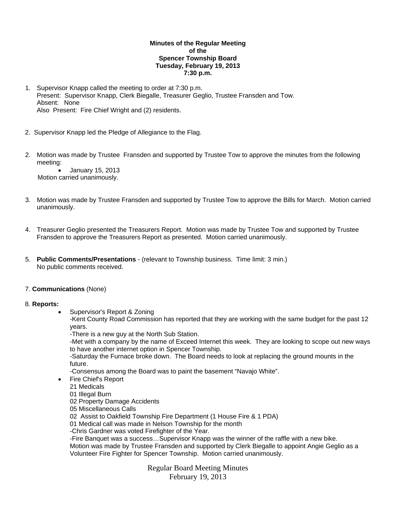## **Minutes of the Regular Meeting of the Spencer Township Board Tuesday, February 19, 2013 7:30 p.m.**

- 1. Supervisor Knapp called the meeting to order at 7:30 p.m. Present: Supervisor Knapp, Clerk Biegalle, Treasurer Geglio, Trustee Fransden and Tow. Absent: None Also Present: Fire Chief Wright and (2) residents.
- 2. Supervisor Knapp led the Pledge of Allegiance to the Flag.
- 2. Motion was made by Trustee Fransden and supported by Trustee Tow to approve the minutes from the following meeting:

 January 15, 2013 Motion carried unanimously.

- 3. Motion was made by Trustee Fransden and supported by Trustee Tow to approve the Bills for March. Motion carried unanimously.
- 4. Treasurer Geglio presented the Treasurers Report. Motion was made by Trustee Tow and supported by Trustee Fransden to approve the Treasurers Report as presented. Motion carried unanimously.
- 5. **Public Comments/Presentations** (relevant to Township business. Time limit: 3 min.) No public comments received.

#### 7. **Communications** (None)

#### 8. **Reports:**

Supervisor's Report & Zoning

-Kent County Road Commission has reported that they are working with the same budget for the past 12 years.

-There is a new guy at the North Sub Station.

-Met with a company by the name of Exceed Internet this week. They are looking to scope out new ways to have another internet option in Spencer Township.

-Saturday the Furnace broke down. The Board needs to look at replacing the ground mounts in the future.

-Consensus among the Board was to paint the basement "Navajo White".

- Fire Chief's Report
	- 21 Medicals
	- 01 Illegal Burn
	- 02 Property Damage Accidents
	- 05 Miscellaneous Calls

02 Assist to Oakfield Township Fire Department (1 House Fire & 1 PDA)

01 Medical call was made in Nelson Township for the month

-Chris Gardner was voted Firefighter of the Year.

-Fire Banquet was a success…Supervisor Knapp was the winner of the raffle with a new bike.

Motion was made by Trustee Fransden and supported by Clerk Biegalle to appoint Angie Geglio as a Volunteer Fire Fighter for Spencer Township. Motion carried unanimously.

> Regular Board Meeting Minutes February 19, 2013